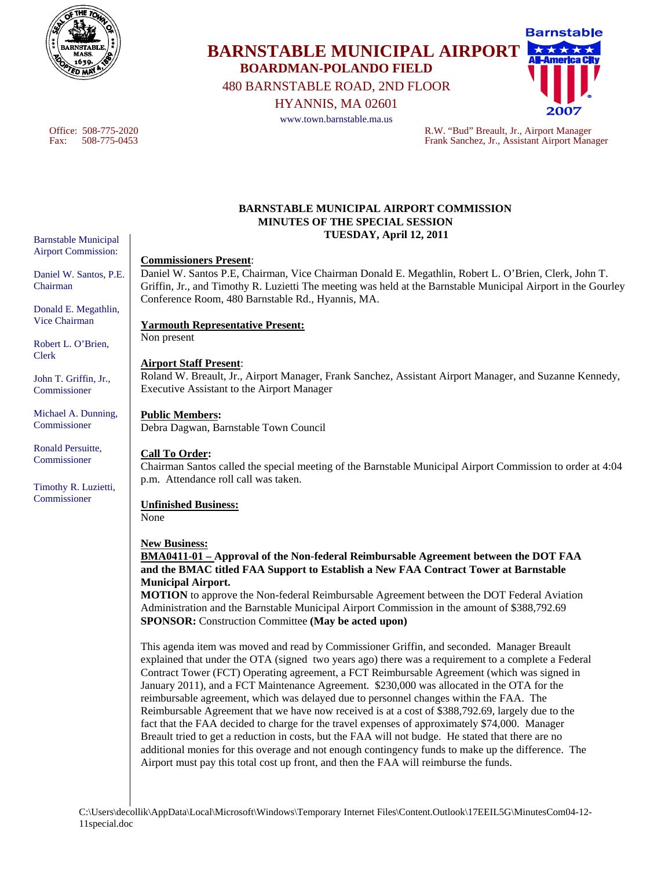

# **Barnstable BARNSTABLE MUNICIPAL AIRPORT BOARDMAN-POLANDO FIELD**  480 BARNSTABLE ROAD, 2ND FLOOR

HYANNIS, MA 02601

www.town.barnstable.ma.us

Office: 508-775-2020 R.W. "Bud" Breault, Jr., Airport Manager Fax: 508-775-0453 Frank Sanchez, Jr., Assistant Airport Manager

#### **BARNSTABLE MUNICIPAL AIRPORT COMMISSION MINUTES OF THE SPECIAL SESSION TUESDAY, April 12, 2011**

#### **Commissioners Present**:

Daniel W. Santos P.E, Chairman, Vice Chairman Donald E. Megathlin, Robert L. O'Brien, Clerk, John T. Griffin, Jr., and Timothy R. Luzietti The meeting was held at the Barnstable Municipal Airport in the Gourley Conference Room, 480 Barnstable Rd., Hyannis, MA.

## **Yarmouth Representative Present:**

Non present

# **Airport Staff Present**:

Roland W. Breault, Jr., Airport Manager, Frank Sanchez, Assistant Airport Manager, and Suzanne Kennedy, Executive Assistant to the Airport Manager

## **Public Members:**

Debra Dagwan, Barnstable Town Council

## **Call To Order:**

Chairman Santos called the special meeting of the Barnstable Municipal Airport Commission to order at 4:04 p.m. Attendance roll call was taken.

## **Unfinished Business:**

None

## **New Business:**

**BMA0411-01 – Approval of the Non-federal Reimbursable Agreement between the DOT FAA and the BMAC titled FAA Support to Establish a New FAA Contract Tower at Barnstable Municipal Airport.** 

**MOTION** to approve the Non-federal Reimbursable Agreement between the DOT Federal Aviation Administration and the Barnstable Municipal Airport Commission in the amount of \$388,792.69 **SPONSOR:** Construction Committee **(May be acted upon)** 

This agenda item was moved and read by Commissioner Griffin, and seconded. Manager Breault explained that under the OTA (signed two years ago) there was a requirement to a complete a Federal Contract Tower (FCT) Operating agreement, a FCT Reimbursable Agreement (which was signed in January 2011), and a FCT Maintenance Agreement. \$230,000 was allocated in the OTA for the reimbursable agreement, which was delayed due to personnel changes within the FAA. The Reimbursable Agreement that we have now received is at a cost of \$388,792.69, largely due to the fact that the FAA decided to charge for the travel expenses of approximately \$74,000. Manager Breault tried to get a reduction in costs, but the FAA will not budge. He stated that there are no additional monies for this overage and not enough contingency funds to make up the difference. The Airport must pay this total cost up front, and then the FAA will reimburse the funds.

Barnstable Municipal Airport Commission:

Daniel W. Santos, P.E. Chairman

Donald E. Megathlin, Vice Chairman

Robert L. O'Brien, Clerk

John T. Griffin, Jr., Commissioner

Michael A. Dunning, Commissioner

Ronald Persuitte, Commissioner

Timothy R. Luzietti, Commissioner